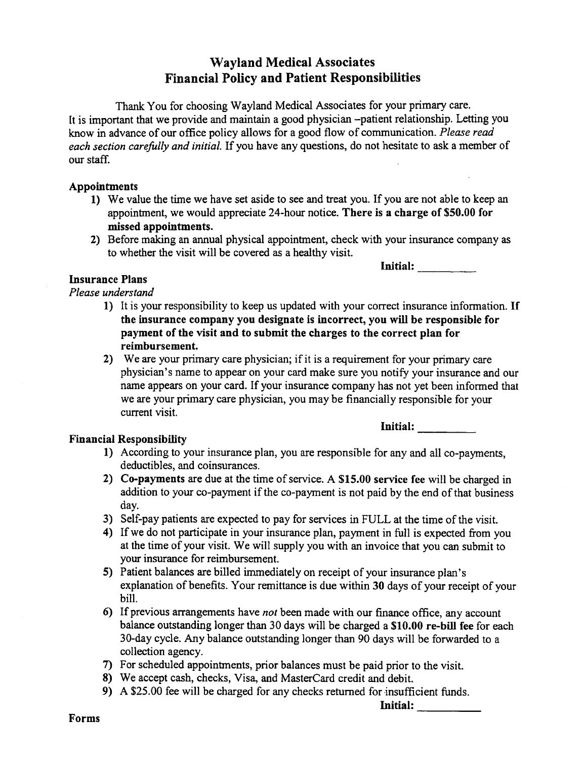## Wayland Medical Associates Financial Policy and Patient Responsibilities

Thank You for choosing Wayland Medical Associates for your primary care. It is important that we provide and maintain a good physician -patient relationship. Letting you know in advance of our office policy allows for a good flow of communication. Please read each section carefully and initial. If you have any questions, do not hesitate to ask a member of our staff.

## Appointments

- 1) We value the time we have set aside to see and treat you. If you are not able to keep an appointment, we would appreciate 24-hour notice. There is a charge of \$50.00 for missed appointments.
- 2) Before making an annual physical appointment, check with your insurance company as to whether the visit will be covered as a healthy visit.

Initial:

## Insurance Plans

Please understand

- 1) It is your responsibility to keep us updated with your correct insurance information. If the insurance company you designate is incorrect, you will be responsible for payment of the visit and to submit the charges to the correct plan for reimbursement.
- 2) We are your primary care physician; if it is a requirement for your primary care physician's name to appear on your card make sure you notify your insurance and our name appears on your card. If your insurance company has not yet been informed that we are your primary care physician, you may be financially responsible for your current visit.

## Financial Responsibility

Initial:

- 1) According to your insurance plan, you are responsible for any and all co-payments, deductibles, and coinsurances.
- 2) Co-payments are due at the time of service. A  $$15.00$  service fee will be charged in addition to your co-payment if the co-payment is not paid by the end of that business day.
- 3) Self-pay patients are expected to pay for services in FULL at the time of the visit.
- 4) If we do not participate in your insurance plan, payment in full is expected from you at the time of your visit. We will supply you with an invoice that you can submit to your insurance for reimbursement.
- 5) Patient balances are billed immediately on receipt of your insurance plan's explanation of benefits. Your remittance is due within 30 days of your receipt of your bill.
- 6) If previous arrangements have *not* been made with our finance office, any account balance outstanding longer than 30 days will be charged a \$10.00 re-bill fee for each 30-day cycle. Any balance outstanding longer than 90 days will be forwarded to collection agency.
- 7) For scheduled appointments, prior balances must be paid prior to the visit.
- 8) We accept cash, checks, Visa, and MasterCard credit and debit.
- 9) A \$25.00 fee will be charged for any checks returned for insufficient funds.

Initial: